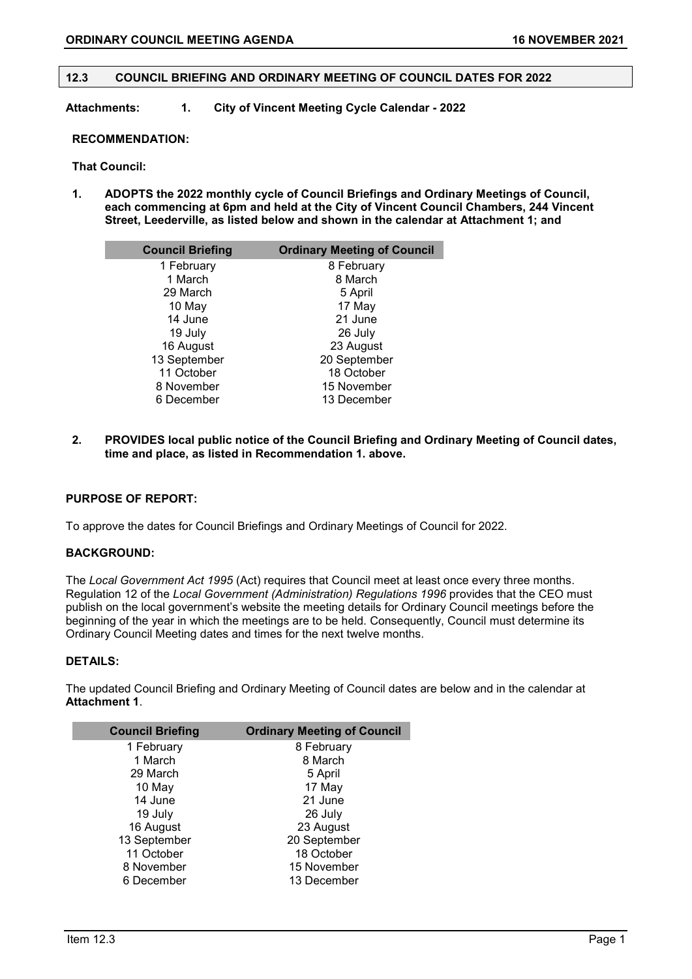# **12.3 COUNCIL BRIEFING AND ORDINARY MEETING OF COUNCIL DATES FOR 2022**

**Attachments: 1. City of Vincent Meeting Cycle Calendar - 2022** 

#### **RECOMMENDATION:**

#### **That Council:**

**1. ADOPTS the 2022 monthly cycle of Council Briefings and Ordinary Meetings of Council, each commencing at 6pm and held at the City of Vincent Council Chambers, 244 Vincent Street, Leederville, as listed below and shown in the calendar at Attachment 1; and**

| <b>Council Briefing</b> | <b>Ordinary Meeting of Council</b> |
|-------------------------|------------------------------------|
| 1 February              | 8 February                         |
| 1 March                 | 8 March                            |
| 29 March                | 5 April                            |
| 10 May                  | 17 May                             |
| 14 June                 | 21 June                            |
| 19 July                 | 26 July                            |
| 16 August               | 23 August                          |
| 13 September            | 20 September                       |
| 11 October              | 18 October                         |
| 8 November              | 15 November                        |
| 6 December              | 13 December                        |

**2. PROVIDES local public notice of the Council Briefing and Ordinary Meeting of Council dates, time and place, as listed in Recommendation 1. above.**

### **PURPOSE OF REPORT:**

To approve the dates for Council Briefings and Ordinary Meetings of Council for 2022.

# **BACKGROUND:**

The *Local Government Act 1995* (Act) requires that Council meet at least once every three months. Regulation 12 of the *Local Government (Administration) Regulations 1996* provides that the CEO must publish on the local government's website the meeting details for Ordinary Council meetings before the beginning of the year in which the meetings are to be held. Consequently, Council must determine its Ordinary Council Meeting dates and times for the next twelve months.

# **DETAILS:**

The updated Council Briefing and Ordinary Meeting of Council dates are below and in the calendar at **Attachment 1**.

| <b>Council Briefing</b> | <b>Ordinary Meeting of Council</b> |
|-------------------------|------------------------------------|
| 1 February              | 8 February                         |
| 1 March                 | 8 March                            |
| 29 March                | 5 April                            |
| 10 May                  | 17 May                             |
| 14 June                 | 21 June                            |
| 19 July                 | 26 July                            |
| 16 August               | 23 August                          |
| 13 September            | 20 September                       |
| 11 October              | 18 October                         |
| 8 November              | 15 November                        |
| 6 December              | 13 December                        |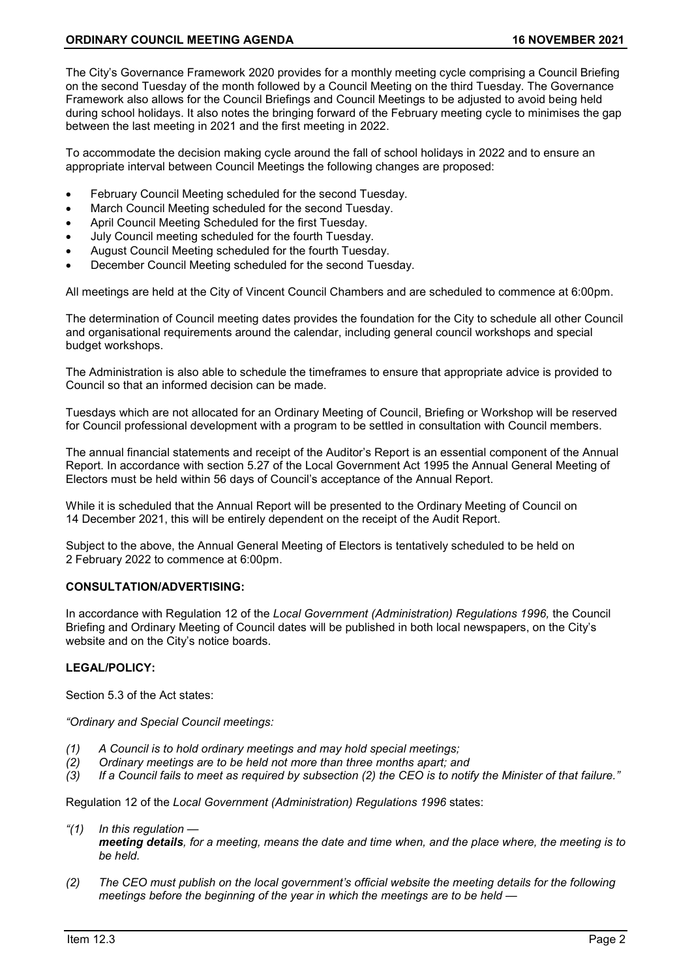The City's Governance Framework 2020 provides for a monthly meeting cycle comprising a Council Briefing on the second Tuesday of the month followed by a Council Meeting on the third Tuesday. The Governance Framework also allows for the Council Briefings and Council Meetings to be adjusted to avoid being held during school holidays. It also notes the bringing forward of the February meeting cycle to minimises the gap between the last meeting in 2021 and the first meeting in 2022.

To accommodate the decision making cycle around the fall of school holidays in 2022 and to ensure an appropriate interval between Council Meetings the following changes are proposed:

- February Council Meeting scheduled for the second Tuesday.
- March Council Meeting scheduled for the second Tuesday.
- April Council Meeting Scheduled for the first Tuesday.
- July Council meeting scheduled for the fourth Tuesday.
- August Council Meeting scheduled for the fourth Tuesday.
- December Council Meeting scheduled for the second Tuesday.

All meetings are held at the City of Vincent Council Chambers and are scheduled to commence at 6:00pm.

The determination of Council meeting dates provides the foundation for the City to schedule all other Council and organisational requirements around the calendar, including general council workshops and special budget workshops.

The Administration is also able to schedule the timeframes to ensure that appropriate advice is provided to Council so that an informed decision can be made.

Tuesdays which are not allocated for an Ordinary Meeting of Council, Briefing or Workshop will be reserved for Council professional development with a program to be settled in consultation with Council members.

The annual financial statements and receipt of the Auditor's Report is an essential component of the Annual Report. In accordance with section 5.27 of the Local Government Act 1995 the Annual General Meeting of Electors must be held within 56 days of Council's acceptance of the Annual Report.

While it is scheduled that the Annual Report will be presented to the Ordinary Meeting of Council on 14 December 2021, this will be entirely dependent on the receipt of the Audit Report.

Subject to the above, the Annual General Meeting of Electors is tentatively scheduled to be held on 2 February 2022 to commence at 6:00pm.

### **CONSULTATION/ADVERTISING:**

In accordance with Regulation 12 of the *Local Government (Administration) Regulations 1996,* the Council Briefing and Ordinary Meeting of Council dates will be published in both local newspapers, on the City's website and on the City's notice boards.

## **LEGAL/POLICY:**

Section 5.3 of the Act states:

*"Ordinary and Special Council meetings:*

- *(1) A Council is to hold ordinary meetings and may hold special meetings;*
- *(2) Ordinary meetings are to be held not more than three months apart; and*
- *(3) If a Council fails to meet as required by subsection (2) the CEO is to notify the Minister of that failure."*

Regulation 12 of the *Local Government (Administration) Regulations 1996* states:

- *"(1) In this regulation meeting details, for a meeting, means the date and time when, and the place where, the meeting is to be held.*
- *(2) The CEO must publish on the local government's official website the meeting details for the following meetings before the beginning of the year in which the meetings are to be held —*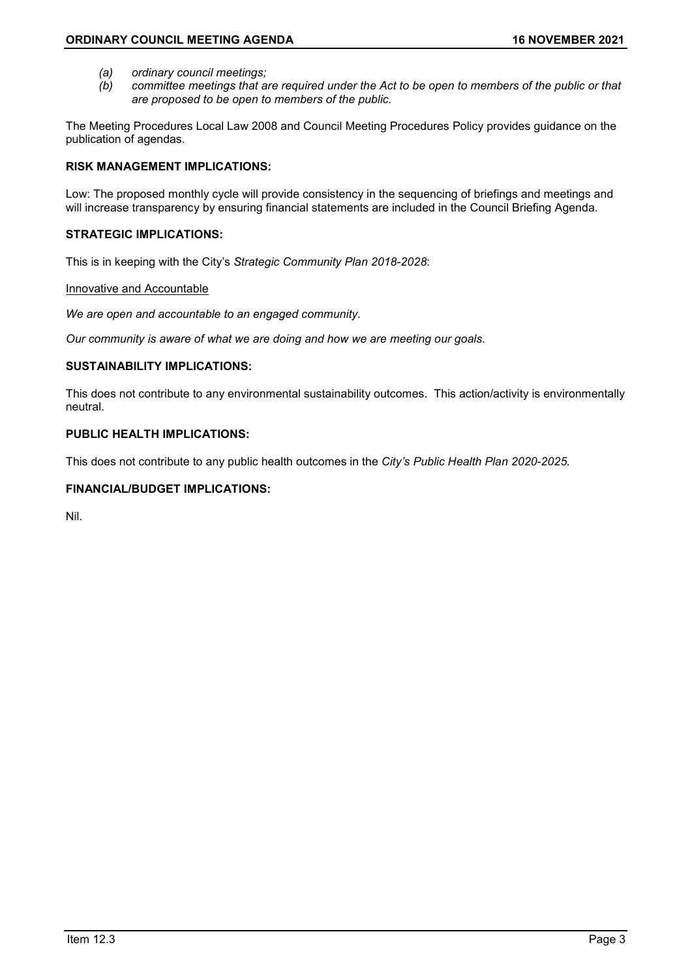- *(a) ordinary council meetings;*
- *(b) committee meetings that are required under the Act to be open to members of the public or that are proposed to be open to members of the public.*

The Meeting Procedures Local Law 2008 and Council Meeting Procedures Policy provides guidance on the publication of agendas.

# **RISK MANAGEMENT IMPLICATIONS:**

Low: The proposed monthly cycle will provide consistency in the sequencing of briefings and meetings and will increase transparency by ensuring financial statements are included in the Council Briefing Agenda.

# **STRATEGIC IMPLICATIONS:**

This is in keeping with the City's *Strategic Community Plan 2018-2028*:

### Innovative and Accountable

*We are open and accountable to an engaged community.*

*Our community is aware of what we are doing and how we are meeting our goals.*

# **SUSTAINABILITY IMPLICATIONS:**

This does not contribute to any environmental sustainability outcomes. This action/activity is environmentally neutral.

# **PUBLIC HEALTH IMPLICATIONS:**

This does not contribute to any public health outcomes in the *City's Public Health Plan 2020-2025.*

# **FINANCIAL/BUDGET IMPLICATIONS:**

Nil.